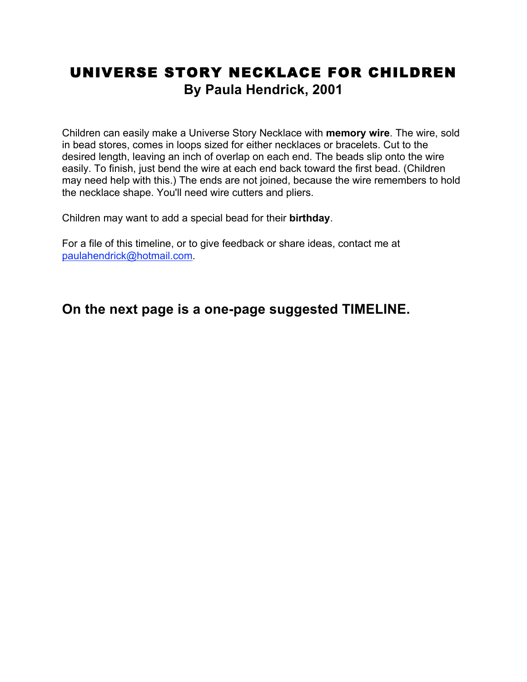## UNIVERSE STORY NECKLACE FOR CHILDREN **By Paula Hendrick, 2001**

Children can easily make a Universe Story Necklace with **memory wire**. The wire, sold in bead stores, comes in loops sized for either necklaces or bracelets. Cut to the desired length, leaving an inch of overlap on each end. The beads slip onto the wire easily. To finish, just bend the wire at each end back toward the first bead. (Children may need help with this.) The ends are not joined, because the wire remembers to hold the necklace shape. You'll need wire cutters and pliers.

Children may want to add a special bead for their **birthday**.

For a file of this timeline, or to give feedback or share ideas, contact me at paulahendrick@hotmail.com.

**On the next page is a one-page suggested TIMELINE.**